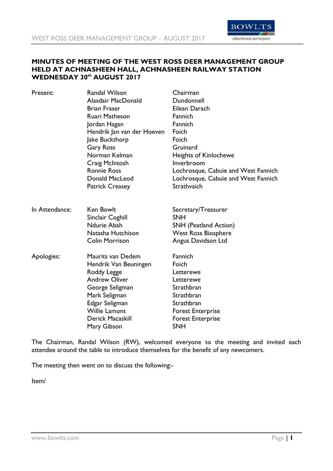

## **MINUTES OF MEETING OF THE WEST ROSS DEER MANAGEMENT GROUP HELD AT ACHNASHEEN HALL, ACHNASHEEN RAILWAY STATION WEDNESDAY 30th AUGUST 2017**

| Present:       | Randal Wilson              | Chairman                            |
|----------------|----------------------------|-------------------------------------|
|                | Alasdair MacDonald         | Dundonnell                          |
|                | <b>Brian Fraser</b>        | Eilean Darach                       |
|                | <b>Ruari Matheson</b>      | Fannich                             |
|                | Jordan Hagan               | Fannich                             |
|                | Hendrik Jan van der Hoeven | Foich                               |
|                | Jake Buckthorp             | Foich                               |
|                | <b>Gary Ross</b>           | Gruinard                            |
|                | Norman Kelman              | <b>Heights of Kinlochewe</b>        |
|                | Craig McIntosh             | Inverbroom                          |
|                | <b>Ronnie Ross</b>         | Lochrosque, Cabuie and West Fannich |
|                | Donald MacLeod             | Lochrosque, Cabuie and West Fannich |
|                | <b>Patrick Creasey</b>     | Strathvaich                         |
| In Attendance: | <b>Ken Bowlt</b>           | Secretary/Treasurer                 |
|                | Sinclair Coghill           | <b>SNH</b>                          |
|                | Ndurie Abah                | <b>SNH</b> (Peatland Action)        |
|                | Natasha Hutchison          | <b>West Ross Biosphere</b>          |
|                | <b>Colin Morrison</b>      | Angus Davidson Ltd                  |
| Apologies:     | Maurits van Dedem          | Fannich                             |
|                | Hendrik Van Beuningen      | Foich                               |
|                | Roddy Legge                | Letterewe                           |
|                | <b>Andrew Oliver</b>       | Letterewe                           |
|                | George Seligman            | Strathbran                          |
|                | Mark Seligman              | Strathbran                          |
|                | Edgar Seligman             | Strathbran                          |
|                | <b>Willie Lamont</b>       | <b>Forest Enterprise</b>            |
|                | <b>Derick Macaskill</b>    | <b>Forest Enterprise</b>            |
|                | Mary Gibson                | <b>SNH</b>                          |

The Chairman, Randal Wilson (RW), welcomed everyone to the meeting and invited each attendee around the table to introduce themselves for the benefit of any newcomers.

The meeting then went on to discuss the following:-

Item/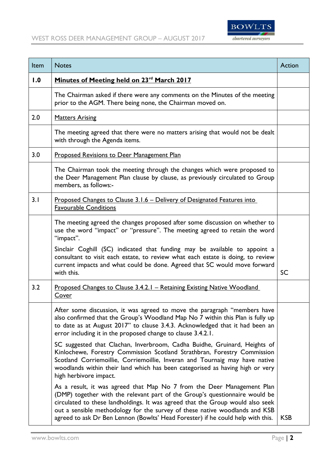

| Item | <b>Notes</b>                                                                                                                                                                                                                                                                                                                                                                                              | Action     |
|------|-----------------------------------------------------------------------------------------------------------------------------------------------------------------------------------------------------------------------------------------------------------------------------------------------------------------------------------------------------------------------------------------------------------|------------|
| 1.0  | Minutes of Meeting held on 23 <sup>rd</sup> March 2017                                                                                                                                                                                                                                                                                                                                                    |            |
|      | The Chairman asked if there were any comments on the Minutes of the meeting<br>prior to the AGM. There being none, the Chairman moved on.                                                                                                                                                                                                                                                                 |            |
| 2.0  | <b>Matters Arising</b>                                                                                                                                                                                                                                                                                                                                                                                    |            |
|      | The meeting agreed that there were no matters arising that would not be dealt<br>with through the Agenda items.                                                                                                                                                                                                                                                                                           |            |
| 3.0  | <b>Proposed Revisions to Deer Management Plan</b>                                                                                                                                                                                                                                                                                                                                                         |            |
|      | The Chairman took the meeting through the changes which were proposed to<br>the Deer Management Plan clause by clause, as previously circulated to Group<br>members, as follows:-                                                                                                                                                                                                                         |            |
| 3.1  | <u> Proposed Changes to Clause 3.1.6 – Delivery of Designated Features into</u><br><b>Favourable Conditions</b>                                                                                                                                                                                                                                                                                           |            |
|      | The meeting agreed the changes proposed after some discussion on whether to<br>use the word "impact" or "pressure". The meeting agreed to retain the word<br>"impact".                                                                                                                                                                                                                                    |            |
|      | Sinclair Coghill (SC) indicated that funding may be available to appoint a<br>consultant to visit each estate, to review what each estate is doing, to review<br>current impacts and what could be done. Agreed that SC would move forward<br>with this.                                                                                                                                                  | <b>SC</b>  |
| 3.2  | Proposed Changes to Clause 3.4.2.1 – Retaining Existing Native Woodland<br>Cover                                                                                                                                                                                                                                                                                                                          |            |
|      | After some discussion, it was agreed to move the paragraph "members have<br>also confirmed that the Group's Woodland Map No 7 within this Plan is fully up<br>to date as at August 2017" to clause 3.4.3. Acknowledged that it had been an<br>error including it in the proposed change to clause 3.4.2.1.                                                                                                |            |
|      | SC suggested that Clachan, Inverbroom, Cadha Buidhe, Gruinard, Heights of<br>Kinlochewe, Forestry Commission Scotland Strathbran, Forestry Commission<br>Scotland Corriemoillie, Corriemoillie, Inveran and Tournaig may have native<br>woodlands within their land which has been categorised as having high or very<br>high herbivore impact.                                                           |            |
|      | As a result, it was agreed that Map No 7 from the Deer Management Plan<br>(DMP) together with the relevant part of the Group's questionnaire would be<br>circulated to these landholdings. It was agreed that the Group would also seek<br>out a sensible methodology for the survey of these native woodlands and KSB<br>agreed to ask Dr Ben Lennon (Bowlts' Head Forester) if he could help with this. | <b>KSB</b> |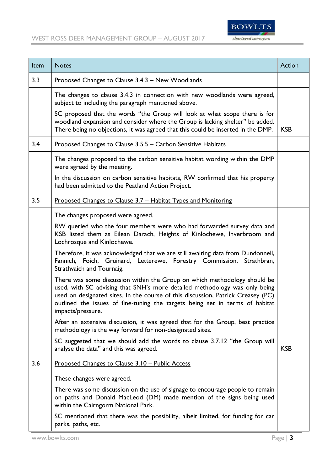

| Item | <b>Notes</b>                                                                                                                                                                                                                                                                                                                                     | <b>Action</b> |  |
|------|--------------------------------------------------------------------------------------------------------------------------------------------------------------------------------------------------------------------------------------------------------------------------------------------------------------------------------------------------|---------------|--|
| 3.3  | <u>Proposed Changes to Clause 3.4.3 – New Woodlands</u>                                                                                                                                                                                                                                                                                          |               |  |
|      | The changes to clause 3.4.3 in connection with new woodlands were agreed,<br>subject to including the paragraph mentioned above.                                                                                                                                                                                                                 |               |  |
|      | SC proposed that the words "the Group will look at what scope there is for<br>woodland expansion and consider where the Group is lacking shelter" be added.<br>There being no objections, it was agreed that this could be inserted in the DMP.                                                                                                  | <b>KSB</b>    |  |
| 3.4  | <u>Proposed Changes to Clause 3.5.5 – Carbon Sensitive Habitats</u>                                                                                                                                                                                                                                                                              |               |  |
|      | The changes proposed to the carbon sensitive habitat wording within the DMP<br>were agreed by the meeting.                                                                                                                                                                                                                                       |               |  |
|      | In the discussion on carbon sensitive habitats, RW confirmed that his property<br>had been admitted to the Peatland Action Project.                                                                                                                                                                                                              |               |  |
| 3.5  | Proposed Changes to Clause 3.7 - Habitat Types and Monitoring                                                                                                                                                                                                                                                                                    |               |  |
|      | The changes proposed were agreed.                                                                                                                                                                                                                                                                                                                |               |  |
|      | RW queried who the four members were who had forwarded survey data and<br>KSB listed them as Eilean Darach, Heights of Kinlochewe, Inverbroom and<br>Lochrosque and Kinlochewe.                                                                                                                                                                  |               |  |
|      | Therefore, it was acknowledged that we are still awaiting data from Dundonnell,<br>Fannich, Foich, Gruinard, Letterewe, Forestry Commission, Strathbran,<br>Strathvaich and Tournaig.                                                                                                                                                            |               |  |
|      | There was some discussion within the Group on which methodology should be<br>used, with SC advising that SNH's more detailed methodology was only being<br>used on designated sites. In the course of this discussion, Patrick Creasey (PC)<br>outlined the issues of fine-tuning the targets being set in terms of habitat<br>impacts/pressure. |               |  |
|      | After an extensive discussion, it was agreed that for the Group, best practice<br>methodology is the way forward for non-designated sites.                                                                                                                                                                                                       |               |  |
|      | SC suggested that we should add the words to clause 3.7.12 "the Group will<br>analyse the data" and this was agreed.                                                                                                                                                                                                                             | <b>KSB</b>    |  |
| 3.6  | Proposed Changes to Clause 3.10 - Public Access                                                                                                                                                                                                                                                                                                  |               |  |
|      | These changes were agreed.                                                                                                                                                                                                                                                                                                                       |               |  |
|      | There was some discussion on the use of signage to encourage people to remain<br>on paths and Donald MacLeod (DM) made mention of the signs being used<br>within the Cairngorm National Park.                                                                                                                                                    |               |  |
|      | SC mentioned that there was the possibility, albeit limited, for funding for car<br>parks, paths, etc.                                                                                                                                                                                                                                           |               |  |
|      | www.bowlts.com<br>Page   $3$                                                                                                                                                                                                                                                                                                                     |               |  |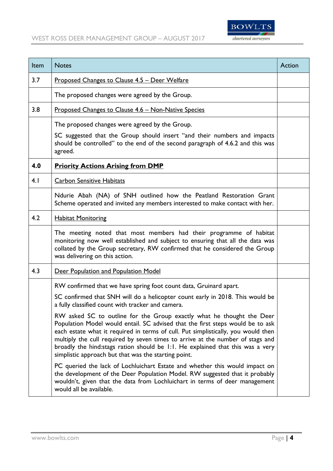

| Item | <b>Notes</b>                                                                                                                                                                                                                                                                                                                                                                                                                                                              | <b>Action</b> |
|------|---------------------------------------------------------------------------------------------------------------------------------------------------------------------------------------------------------------------------------------------------------------------------------------------------------------------------------------------------------------------------------------------------------------------------------------------------------------------------|---------------|
| 3.7  | <u>Proposed Changes to Clause 4.5 – Deer Welfare</u>                                                                                                                                                                                                                                                                                                                                                                                                                      |               |
|      | The proposed changes were agreed by the Group.                                                                                                                                                                                                                                                                                                                                                                                                                            |               |
| 3.8  | <u>Proposed Changes to Clause 4.6 – Non-Native Species</u>                                                                                                                                                                                                                                                                                                                                                                                                                |               |
|      | The proposed changes were agreed by the Group.                                                                                                                                                                                                                                                                                                                                                                                                                            |               |
|      | SC suggested that the Group should insert "and their numbers and impacts<br>should be controlled" to the end of the second paragraph of 4.6.2 and this was<br>agreed.                                                                                                                                                                                                                                                                                                     |               |
| 4.0  | <b>Priority Actions Arising from DMP</b>                                                                                                                                                                                                                                                                                                                                                                                                                                  |               |
| 4.1  | <b>Carbon Sensitive Habitats</b>                                                                                                                                                                                                                                                                                                                                                                                                                                          |               |
|      | Ndurie Abah (NA) of SNH outlined how the Peatland Restoration Grant<br>Scheme operated and invited any members interested to make contact with her.                                                                                                                                                                                                                                                                                                                       |               |
| 4.2  | <b>Habitat Monitoring</b>                                                                                                                                                                                                                                                                                                                                                                                                                                                 |               |
|      | The meeting noted that most members had their programme of habitat<br>monitoring now well established and subject to ensuring that all the data was<br>collated by the Group secretary, RW confirmed that he considered the Group<br>was delivering on this action.                                                                                                                                                                                                       |               |
| 4.3  | Deer Population and Population Model                                                                                                                                                                                                                                                                                                                                                                                                                                      |               |
|      | RW confirmed that we have spring foot count data, Gruinard apart.                                                                                                                                                                                                                                                                                                                                                                                                         |               |
|      | SC confirmed that SNH will do a helicopter count early in 2018. This would be<br>a fully classified count with tracker and camera.                                                                                                                                                                                                                                                                                                                                        |               |
|      | RW asked SC to outline for the Group exactly what he thought the Deer<br>Population Model would entail. SC advised that the first steps would be to ask<br>each estate what it required in terms of cull. Put simplistically, you would then<br>multiply the cull required by seven times to arrive at the number of stags and<br>broadly the hind: stags ration should be 1:1. He explained that this was a very<br>simplistic approach but that was the starting point. |               |
|      | PC queried the lack of Lochluichart Estate and whether this would impact on<br>the development of the Deer Population Model. RW suggested that it probably<br>wouldn't, given that the data from Lochluichart in terms of deer management<br>would all be available.                                                                                                                                                                                                      |               |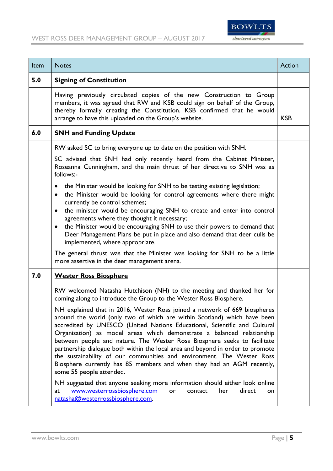

| Item | <b>Notes</b>                                                                                                                                                                                                                                                                                                                                                                                                                                                                                                                                                                                                                                                                                                                             | Action     |
|------|------------------------------------------------------------------------------------------------------------------------------------------------------------------------------------------------------------------------------------------------------------------------------------------------------------------------------------------------------------------------------------------------------------------------------------------------------------------------------------------------------------------------------------------------------------------------------------------------------------------------------------------------------------------------------------------------------------------------------------------|------------|
| 5.0  | <b>Signing of Constitution</b>                                                                                                                                                                                                                                                                                                                                                                                                                                                                                                                                                                                                                                                                                                           |            |
|      | Having previously circulated copies of the new Construction to Group<br>members, it was agreed that RW and KSB could sign on behalf of the Group,<br>thereby formally creating the Constitution. KSB confirmed that he would<br>arrange to have this uploaded on the Group's website.                                                                                                                                                                                                                                                                                                                                                                                                                                                    | <b>KSB</b> |
| 6.0  | <b>SNH and Funding Update</b>                                                                                                                                                                                                                                                                                                                                                                                                                                                                                                                                                                                                                                                                                                            |            |
|      | RW asked SC to bring everyone up to date on the position with SNH.                                                                                                                                                                                                                                                                                                                                                                                                                                                                                                                                                                                                                                                                       |            |
|      | SC advised that SNH had only recently heard from the Cabinet Minister,<br>Roseanna Cunningham, and the main thrust of her directive to SNH was as<br>follows:-                                                                                                                                                                                                                                                                                                                                                                                                                                                                                                                                                                           |            |
|      | the Minister would be looking for SNH to be testing existing legislation;<br>$\bullet$<br>the Minister would be looking for control agreements where there might<br>$\bullet$<br>currently be control schemes;<br>the minister would be encouraging SNH to create and enter into control<br>$\bullet$<br>agreements where they thought it necessary;<br>the Minister would be encouraging SNH to use their powers to demand that<br>$\bullet$<br>Deer Management Plans be put in place and also demand that deer culls be<br>implemented, where appropriate.<br>The general thrust was that the Minister was looking for SNH to be a little                                                                                              |            |
| 7.0  | more assertive in the deer management arena.<br><b>Wester Ross Biosphere</b>                                                                                                                                                                                                                                                                                                                                                                                                                                                                                                                                                                                                                                                             |            |
|      | RW welcomed Natasha Hutchison (NH) to the meeting and thanked her for<br>coming along to introduce the Group to the Wester Ross Biosphere.                                                                                                                                                                                                                                                                                                                                                                                                                                                                                                                                                                                               |            |
|      | NH explained that in 2016, Wester Ross joined a network of 669 biospheres<br>around the world (only two of which are within Scotland) which have been<br>accredited by UNESCO (United Nations Educational, Scientific and Cultural<br>Organisation) as model areas which demonstrate a balanced relationship<br>between people and nature. The Wester Ross Biosphere seeks to facilitate<br>partnership dialogue both within the local area and beyond in order to promote<br>the sustainability of our communities and environment. The Wester Ross<br>Biosphere currently has 85 members and when they had an AGM recently,<br>some 55 people attended.<br>NH suggested that anyone seeking more information should either look online |            |
|      | www.westerrossbiosphere.com<br>her<br>direct<br>at<br>or<br>contact<br>on<br>natasha@westerrossbiosphere.com.                                                                                                                                                                                                                                                                                                                                                                                                                                                                                                                                                                                                                            |            |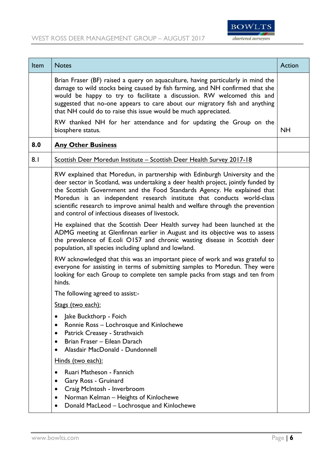

| Item | <b>Notes</b>                                                                                                                                                                                                                                                                                                                                                                                                                                                                             | Action    |
|------|------------------------------------------------------------------------------------------------------------------------------------------------------------------------------------------------------------------------------------------------------------------------------------------------------------------------------------------------------------------------------------------------------------------------------------------------------------------------------------------|-----------|
|      | Brian Fraser (BF) raised a query on aquaculture, having particularly in mind the<br>damage to wild stocks being caused by fish farming, and NH confirmed that she<br>would be happy to try to facilitate a discussion. RW welcomed this and<br>suggested that no-one appears to care about our migratory fish and anything<br>that NH could do to raise this issue would be much appreciated.<br>RW thanked NH for her attendance and for updating the Group on the<br>biosphere status. | <b>NH</b> |
| 8.0  | <b>Any Other Business</b>                                                                                                                                                                                                                                                                                                                                                                                                                                                                |           |
| 8.1  | Scottish Deer Moredun Institute - Scottish Deer Health Survey 2017-18                                                                                                                                                                                                                                                                                                                                                                                                                    |           |
|      | RW explained that Moredun, in partnership with Edinburgh University and the<br>deer sector in Scotland, was undertaking a deer health project, jointly funded by<br>the Scottish Government and the Food Standards Agency. He explained that<br>Moredun is an independent research institute that conducts world-class<br>scientific research to improve animal health and welfare through the prevention<br>and control of infectious diseases of livestock.                            |           |
|      | He explained that the Scottish Deer Health survey had been launched at the<br>ADMG meeting at Glenfinnan earlier in August and its objective was to assess<br>the prevalence of E.coli O157 and chronic wasting disease in Scottish deer<br>population, all species including upland and lowland.                                                                                                                                                                                        |           |
|      | RW acknowledged that this was an important piece of work and was grateful to<br>everyone for assisting in terms of submitting samples to Moredun. They were<br>looking for each Group to complete ten sample packs from stags and ten from<br>hinds.                                                                                                                                                                                                                                     |           |
|      | The following agreed to assist:-                                                                                                                                                                                                                                                                                                                                                                                                                                                         |           |
|      | Stags (two each):                                                                                                                                                                                                                                                                                                                                                                                                                                                                        |           |
|      | Jake Buckthorp - Foich<br>Ronnie Ross - Lochrosque and Kinlochewe<br>Patrick Creasey - Strathvaich<br>Brian Fraser - Eilean Darach<br>Alasdair MacDonald - Dundonnell                                                                                                                                                                                                                                                                                                                    |           |
|      | Hinds (two each):                                                                                                                                                                                                                                                                                                                                                                                                                                                                        |           |
|      | Ruari Matheson - Fannich<br>Gary Ross - Gruinard<br>Craig McIntosh - Inverbroom<br>Norman Kelman - Heights of Kinlochewe<br>Donald MacLeod - Lochrosque and Kinlochewe<br>$\bullet$                                                                                                                                                                                                                                                                                                      |           |